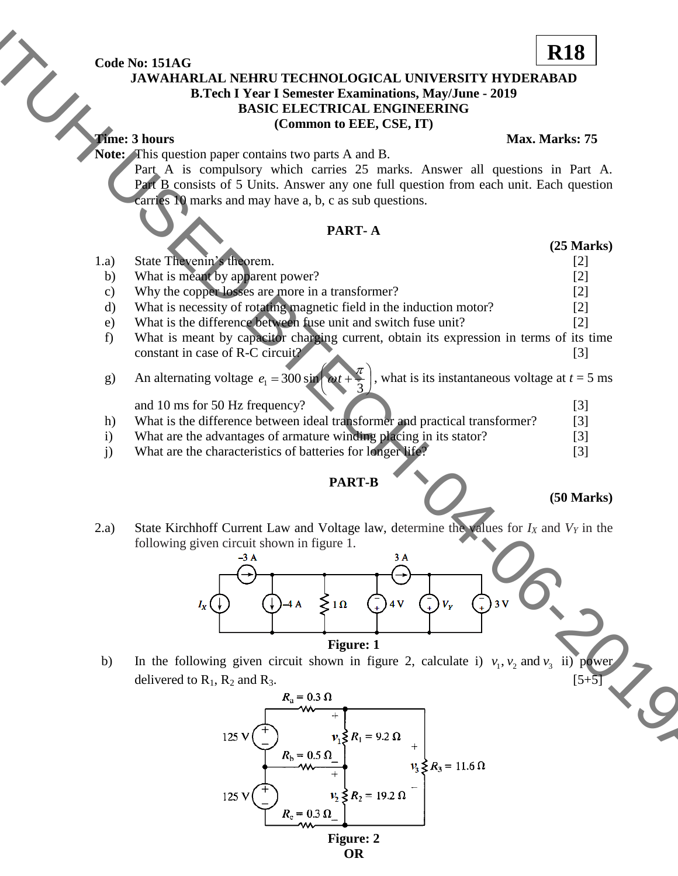#### **Code No: 151AG**

## **JAWAHARLAL NEHRU TECHNOLOGICAL UNIVERSITY HYDERABAD B.Tech I Year I Semester Examinations, May/June - 2019 BASIC ELECTRICAL ENGINEERING (Common to EEE, CSE, IT)**

# **Time: 3 hours** Max. Marks: 75

**Note:** This question paper contains two parts A and B.

Part A is compulsory which carries 25 marks. Answer all questions in Part A. Part B consists of 5 Units. Answer any one full question from each unit. Each question carries 10 marks and may have a, b, c as sub questions.

## **PART- A**

- 1.a) State Thevenin's theorem. [2] b) What is meant by apparent power? [2] c) Why the copper losses are more in a transformer? [2] d) What is necessity of rotating magnetic field in the induction motor? [2] e) What is the difference between fuse unit and switch fuse unit? [2] f) What is meant by capacitor charging current, obtain its expression in terms of its time constant in case of R-C circuit? [3] g) An alternating voltage  $e_1 = 300 \sin \left(\omega t + \frac{\omega^2}{2}\right)$  $\overline{\phantom{a}}$  $\omega t + \frac{\pi}{2}$  $\setminus$  $= 300 \sin \omega t +$  $e_1 = 300 \sin \left( \omega t + \frac{\pi}{3} \right)$ , what is its instantaneous voltage at  $t = 5$  ms and 10 ms for 50 Hz frequency?  $\blacksquare$  [3] h) What is the difference between ideal transformer and practical transformer? [3] Code No: IS Like <br>
TAWA HE AL NUME TRICAL INCORPORATIVE IVERES ALTER (SIMMON) RESIDENCES (SIMMON) SURVENSION COMMENTENCES (SIMMON) SURVENUS (SIMMON) SURVENUS (SIMMON) SURVENUS (SIMMON) SURVENUS (SIMMON) SURVENUS (SIMMON)
	- i) What are the advantages of armature winding placing in its stator? [3]
	- j) What are the characteristics of batteries for longer life? [3]

# **PART-B**

### **(50 Marks)**

2.a) State Kirchhoff Current Law and Voltage law, determine the values for  $I_X$  and  $V_Y$  in the following given circuit shown in figure 1.



# b) In the following given circuit shown in figure 2, calculate i)  $v_1$ ,  $v_2$  and  $v_3$  ii) power delivered to  $R_1$ ,  $R_2$  and  $R_3$ . [5+5]



**(25 Marks)**